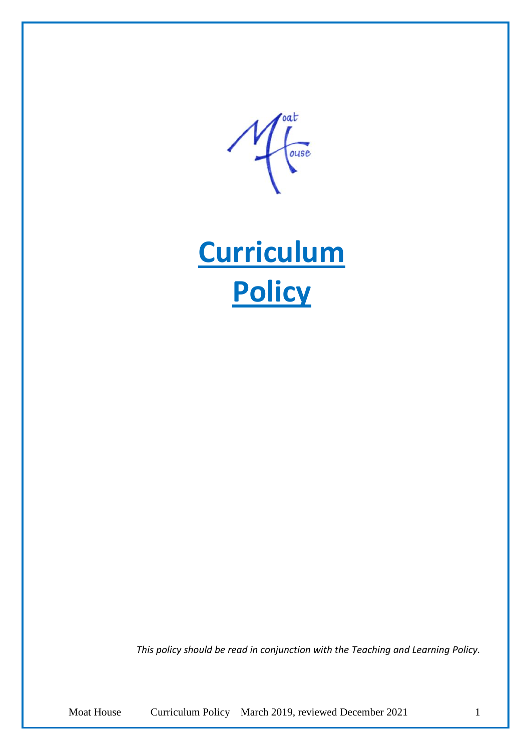roat ouse

**Curriculum Policy**

*This policy should be read in conjunction with the Teaching and Learning Policy.* 

Moat House Curriculum Policy March 2019, reviewed December 2021 1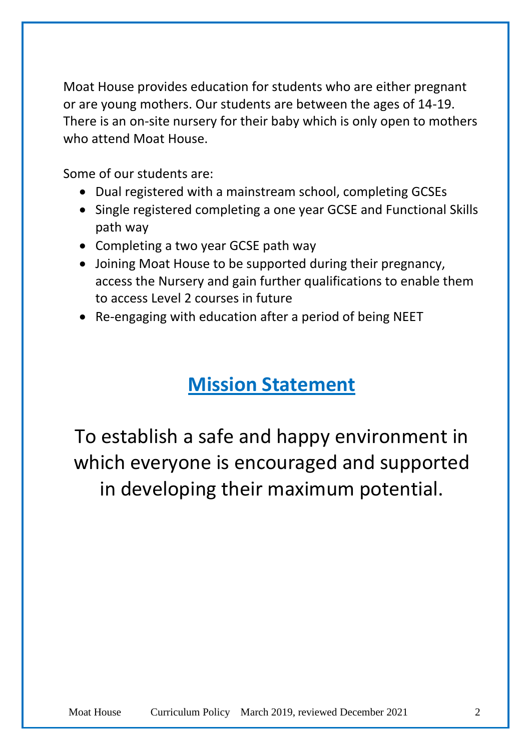Moat House provides education for students who are either pregnant or are young mothers. Our students are between the ages of 14-19. There is an on-site nursery for their baby which is only open to mothers who attend Moat House.

Some of our students are:

- Dual registered with a mainstream school, completing GCSEs
- Single registered completing a one year GCSE and Functional Skills path way
- Completing a two year GCSE path way
- Joining Moat House to be supported during their pregnancy, access the Nursery and gain further qualifications to enable them to access Level 2 courses in future
- Re-engaging with education after a period of being NEET

# **Mission Statement**

To establish a safe and happy environment in which everyone is encouraged and supported in developing their maximum potential.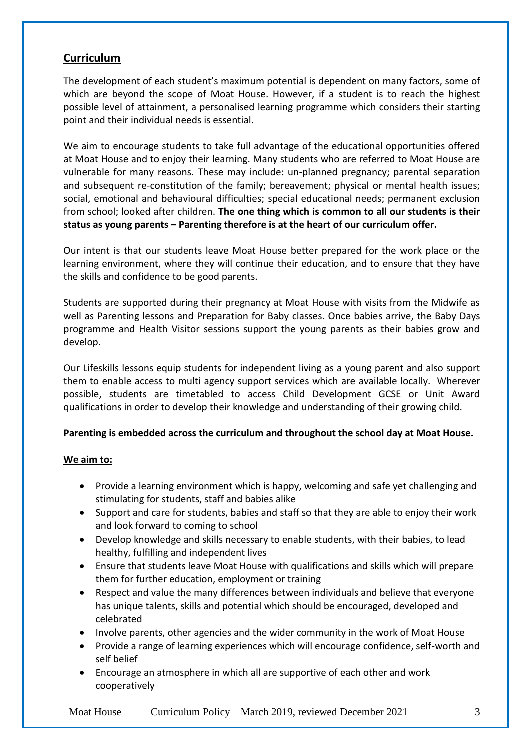## **Curriculum**

The development of each student's maximum potential is dependent on many factors, some of which are beyond the scope of Moat House. However, if a student is to reach the highest possible level of attainment, a personalised learning programme which considers their starting point and their individual needs is essential.

We aim to encourage students to take full advantage of the educational opportunities offered at Moat House and to enjoy their learning. Many students who are referred to Moat House are vulnerable for many reasons. These may include: un-planned pregnancy; parental separation and subsequent re-constitution of the family; bereavement; physical or mental health issues; social, emotional and behavioural difficulties; special educational needs; permanent exclusion from school; looked after children. **The one thing which is common to all our students is their status as young parents – Parenting therefore is at the heart of our curriculum offer.**

Our intent is that our students leave Moat House better prepared for the work place or the learning environment, where they will continue their education, and to ensure that they have the skills and confidence to be good parents.

Students are supported during their pregnancy at Moat House with visits from the Midwife as well as Parenting lessons and Preparation for Baby classes. Once babies arrive, the Baby Days programme and Health Visitor sessions support the young parents as their babies grow and develop.

Our Lifeskills lessons equip students for independent living as a young parent and also support them to enable access to multi agency support services which are available locally. Wherever possible, students are timetabled to access Child Development GCSE or Unit Award qualifications in order to develop their knowledge and understanding of their growing child.

### **Parenting is embedded across the curriculum and throughout the school day at Moat House.**

### **We aim to:**

- Provide a learning environment which is happy, welcoming and safe yet challenging and stimulating for students, staff and babies alike
- Support and care for students, babies and staff so that they are able to enjoy their work and look forward to coming to school
- Develop knowledge and skills necessary to enable students, with their babies, to lead healthy, fulfilling and independent lives
- Ensure that students leave Moat House with qualifications and skills which will prepare them for further education, employment or training
- Respect and value the many differences between individuals and believe that everyone has unique talents, skills and potential which should be encouraged, developed and celebrated
- Involve parents, other agencies and the wider community in the work of Moat House
- Provide a range of learning experiences which will encourage confidence, self-worth and self belief
- Encourage an atmosphere in which all are supportive of each other and work cooperatively